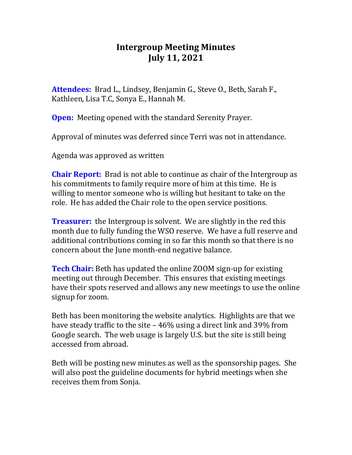## **Intergroup Meeting Minutes July 11, 2021**

**Attendees:** Brad L., Lindsey, Benjamin G., Steve O., Beth, Sarah F., Kathleen, Lisa T.C, Sonya E., Hannah M.

**Open:** Meeting opened with the standard Serenity Prayer.

Approval of minutes was deferred since Terri was not in attendance.

Agenda was approved as written

**Chair Report:** Brad is not able to continue as chair of the Intergroup as his commitments to family require more of him at this time. He is willing to mentor someone who is willing but hesitant to take on the role. He has added the Chair role to the open service positions.

**Treasurer:** the Intergroup is solvent. We are slightly in the red this month due to fully funding the WSO reserve. We have a full reserve and additional contributions coming in so far this month so that there is no concern about the June month-end negative balance.

**Tech Chair:** Beth has updated the online ZOOM sign-up for existing meeting out through December. This ensures that existing meetings have their spots reserved and allows any new meetings to use the online signup for zoom.

Beth has been monitoring the website analytics. Highlights are that we have steady traffic to the site – 46% using a direct link and 39% from Google search. The web usage is largely U.S. but the site is still being accessed from abroad.

Beth will be posting new minutes as well as the sponsorship pages. She will also post the guideline documents for hybrid meetings when she receives them from Sonja.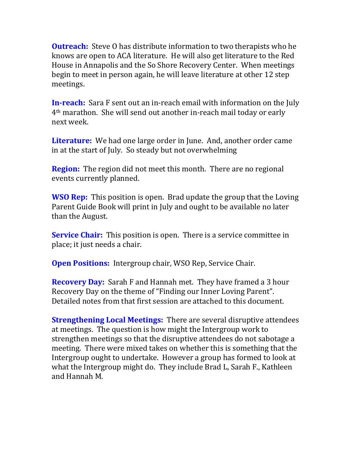**Outreach:** Steve O has distribute information to two therapists who he knows are open to ACA literature. He will also get literature to the Red House in Annapolis and the So Shore Recovery Center. When meetings begin to meet in person again, he will leave literature at other 12 step meetings.

**In-reach:** Sara F sent out an in-reach email with information on the July 4th marathon. She will send out another in-reach mail today or early next week.

**Literature:** We had one large order in June. And, another order came in at the start of July. So steady but not overwhelming

**Region:** The region did not meet this month. There are no regional events currently planned.

**WSO Rep:** This position is open. Brad update the group that the Loving Parent Guide Book will print in July and ought to be available no later than the August.

**Service Chair:** This position is open. There is a service committee in place; it just needs a chair.

**Open Positions:** Intergroup chair, WSO Rep, Service Chair.

**Recovery Day:** Sarah F and Hannah met. They have framed a 3 hour Recovery Day on the theme of "Finding our Inner Loving Parent". Detailed notes from that first session are attached to this document.

**Strengthening Local Meetings:** There are several disruptive attendees at meetings. The question is how might the Intergroup work to strengthen meetings so that the disruptive attendees do not sabotage a meeting. There were mixed takes on whether this is something that the Intergroup ought to undertake. However a group has formed to look at what the Intergroup might do. They include Brad L, Sarah F., Kathleen and Hannah M.